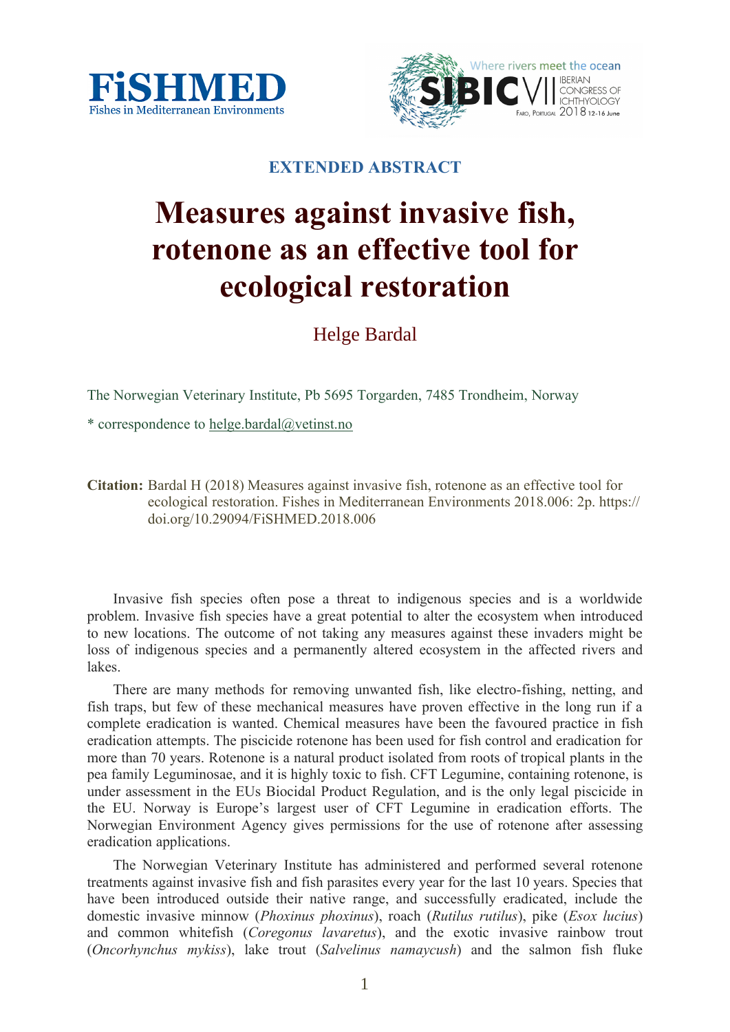



## **EXTENDED ABSTRACT**

## **Measures against invasive fish, rotenone as an effective tool for ecological restoration**

Helge Bardal

The Norwegian Veterinary Institute, Pb 5695 Torgarden, 7485 Trondheim, Norway

\* correspondence to helge.bardal@vetinst.no

**Citation:** Bardal H (2018) Measures against invasive fish, rotenone as an effective tool for ecological restoration. Fishes in Mediterranean Environments 2018.006: 2p. https:// doi.org/10.29094/FiSHMED.2018.006

Invasive fish species often pose a threat to indigenous species and is a worldwide problem. Invasive fish species have a great potential to alter the ecosystem when introduced to new locations. The outcome of not taking any measures against these invaders might be loss of indigenous species and a permanently altered ecosystem in the affected rivers and lakes.

There are many methods for removing unwanted fish, like electro-fishing, netting, and fish traps, but few of these mechanical measures have proven effective in the long run if a complete eradication is wanted. Chemical measures have been the favoured practice in fish eradication attempts. The piscicide rotenone has been used for fish control and eradication for more than 70 years. Rotenone is a natural product isolated from roots of tropical plants in the pea family Leguminosae, and it is highly toxic to fish. CFT Legumine, containing rotenone, is under assessment in the EUs Biocidal Product Regulation, and is the only legal piscicide in the EU. Norway is Europe's largest user of CFT Legumine in eradication efforts. The Norwegian Environment Agency gives permissions for the use of rotenone after assessing eradication applications.

The Norwegian Veterinary Institute has administered and performed several rotenone treatments against invasive fish and fish parasites every year for the last 10 years. Species that have been introduced outside their native range, and successfully eradicated, include the domestic invasive minnow (*Phoxinus phoxinus*), roach (*Rutilus rutilus*), pike (*Esox lucius*) and common whitefish (*Coregonus lavaretus*), and the exotic invasive rainbow trout (*Oncorhynchus mykiss*), lake trout (*Salvelinus namaycush*) and the salmon fish fluke